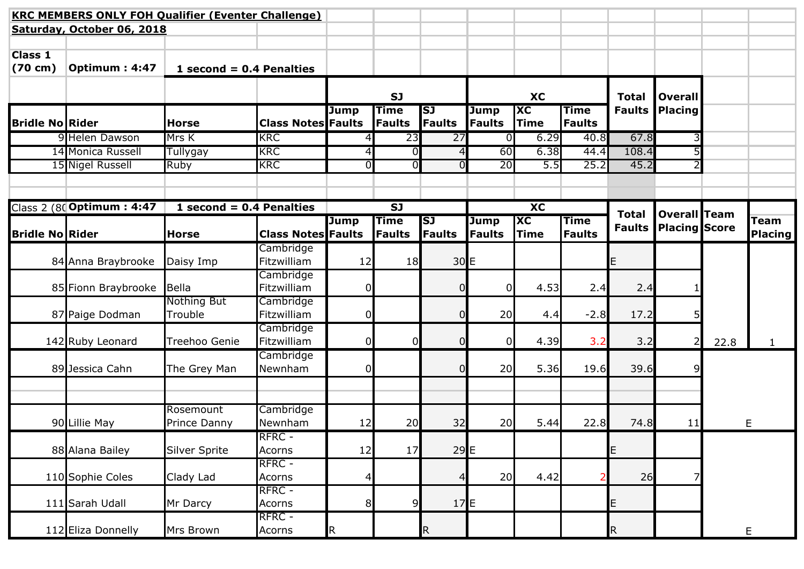|                                     | <b>KRC MEMBERS ONLY FOH Qualifier (Eventer Challenge)</b> |                            |                           |                |                              |                     |                       |                                        |                              |               |                      |      |                        |
|-------------------------------------|-----------------------------------------------------------|----------------------------|---------------------------|----------------|------------------------------|---------------------|-----------------------|----------------------------------------|------------------------------|---------------|----------------------|------|------------------------|
|                                     | Saturday, October 06, 2018                                |                            |                           |                |                              |                     |                       |                                        |                              |               |                      |      |                        |
| <b>Class 1</b><br>$(70 \text{ cm})$ | Optimum: 4:47                                             | 1 second = $0.4$ Penalties |                           |                |                              |                     |                       |                                        |                              |               |                      |      |                        |
|                                     |                                                           |                            |                           |                | <b>SJ</b>                    |                     |                       | <b>XC</b>                              |                              | <b>Total</b>  | <b>Overall</b>       |      |                        |
| <b>Bridle No Rider</b>              |                                                           | <b>Horse</b>               | <b>Class Notes Faults</b> | <b>Jump</b>    | <b>Time</b><br>Faults        | SJ<br><b>Faults</b> | <b>Jump</b><br>Faults | $\overline{\mathbf{X}}$<br><b>Time</b> | <b>Time</b><br><b>Faults</b> | <b>Faults</b> | <b>Placing</b>       |      |                        |
|                                     | 9 Helen Dawson                                            | Mrs K                      | <b>KRC</b>                |                | 23                           | 27                  | ΟI                    | 6.29                                   | 40.8                         | 67.8          |                      |      |                        |
|                                     | 14 Monica Russell                                         | <b>Tullygay</b>            | <b>KRC</b>                | 4              | $\overline{0}$               | 4                   | 60                    | 6.38                                   | 44.4                         | 108.4         |                      |      |                        |
|                                     | 15 Nigel Russell                                          | Ruby                       | <b>KRC</b>                | $\overline{0}$ | $\overline{0}$               | 0                   | 20                    | 5.5                                    | 25.2                         | 45.2          |                      |      |                        |
|                                     |                                                           |                            |                           |                |                              |                     |                       |                                        |                              |               |                      |      |                        |
|                                     |                                                           |                            |                           |                |                              |                     |                       |                                        |                              |               |                      |      |                        |
|                                     | Class 2 (80 Optimum: 4:47                                 | 1 second = $0.4$ Penalties |                           |                | <b>SJ</b>                    |                     |                       | <b>XC</b>                              |                              | <b>Total</b>  | <b>Overall Team</b>  |      |                        |
| <b>Bridle No Rider</b>              |                                                           | <b>Horse</b>               | <b>Class Notes Faults</b> | <b>Jump</b>    | <b>Time</b><br><b>Faults</b> | SJ<br>Faults        | Jump<br><b>Faults</b> | <b>IXC</b><br>Time                     | <b>Time</b><br><b>Faults</b> | <b>Faults</b> | <b>Placing Score</b> |      | Team<br><b>Placing</b> |
|                                     |                                                           |                            | Cambridge                 |                |                              |                     |                       |                                        |                              |               |                      |      |                        |
|                                     | 84 Anna Braybrooke                                        | Daisy Imp                  | Fitzwilliam               | 12             | 18                           | 30E                 |                       |                                        |                              | E             |                      |      |                        |
|                                     |                                                           |                            | Cambridge                 |                |                              |                     |                       |                                        |                              |               |                      |      |                        |
|                                     | 85 Fionn Braybrooke                                       | Bella                      | Fitzwilliam               | $\overline{0}$ |                              | 0                   | ΩI                    | 4.53                                   | 2.4                          | 2.4           |                      |      |                        |
|                                     |                                                           | Nothing But                | Cambridge                 |                |                              |                     |                       |                                        |                              |               |                      |      |                        |
|                                     | 87 Paige Dodman                                           | Trouble                    | Fitzwilliam               | 0              |                              | 0                   | 20                    | 4.4                                    | $-2.8$                       | 17.2          |                      |      |                        |
|                                     |                                                           |                            | Cambridge                 |                |                              |                     |                       |                                        |                              |               |                      |      |                        |
|                                     | 142 Ruby Leonard                                          | Treehoo Genie              | Fitzwilliam               | 0              | $\overline{0}$               | 0                   | $\Omega$              | 4.39                                   | 3.2                          | 3.2           | 21                   | 22.8 | $\mathbf{1}$           |
|                                     |                                                           |                            | Cambridge                 |                |                              |                     |                       |                                        |                              |               |                      |      |                        |
|                                     | 89 Jessica Cahn                                           | The Grey Man               | Newnham                   | $\overline{0}$ |                              | 0                   | 20                    | 5.36                                   | 19.6                         | 39.6          |                      |      |                        |
|                                     |                                                           |                            |                           |                |                              |                     |                       |                                        |                              |               |                      |      |                        |
|                                     |                                                           | Rosemount                  | Cambridge                 |                |                              |                     |                       |                                        |                              |               |                      |      |                        |
|                                     | 90 Lillie May                                             | Prince Danny               | Newnham                   | 12             | 20                           | 32                  | 20                    | 5.44                                   | 22.8                         | 74.8          | 11                   |      | E                      |
|                                     |                                                           |                            | RFRC -                    |                |                              |                     |                       |                                        |                              |               |                      |      |                        |
|                                     | 88 Alana Bailey                                           | <b>Silver Sprite</b>       | Acorns                    | 12             | 17                           | 29E                 |                       |                                        |                              | E             |                      |      |                        |
|                                     |                                                           |                            | RFRC -                    |                |                              |                     |                       |                                        |                              |               |                      |      |                        |
|                                     | 110 Sophie Coles                                          | Clady Lad                  | Acorns                    | 4              |                              | 4                   | 20                    | 4.42                                   |                              | 26            |                      |      |                        |
|                                     |                                                           |                            | RFRC -                    |                |                              |                     |                       |                                        |                              |               |                      |      |                        |
|                                     | 111 Sarah Udall                                           | Mr Darcy                   | Acorns                    | 8 <sup>1</sup> | 9                            | 17E                 |                       |                                        |                              | E             |                      |      |                        |
|                                     |                                                           |                            | RFRC -                    |                |                              |                     |                       |                                        |                              |               |                      |      |                        |
|                                     | 112 Eliza Donnelly                                        | Mrs Brown                  | Acorns                    | $\mathsf R$    |                              | R                   |                       |                                        |                              | $\mathsf R$   |                      |      | E                      |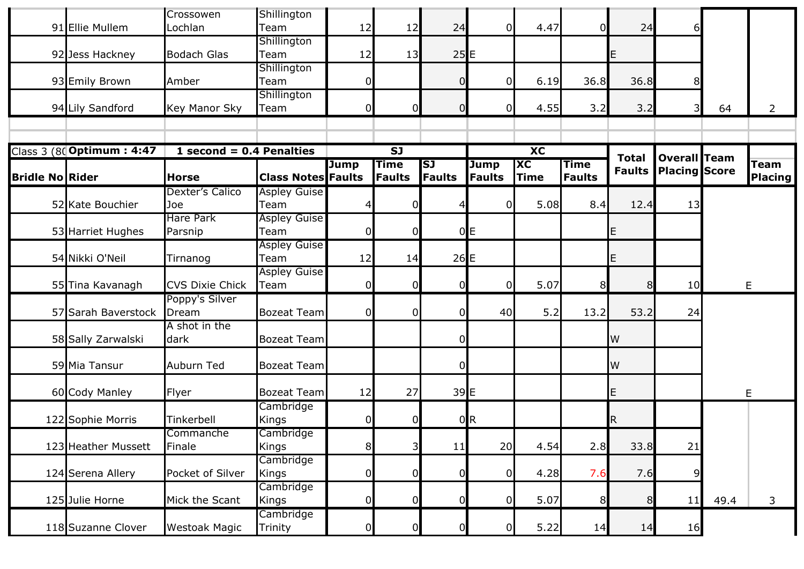| 91 Ellie Mullem<br>Lochlan<br>12<br>12<br>24<br>Team<br>4.47<br>24<br>0<br>61<br>01<br>Shillington<br>25E<br>92 Jess Hackney<br><b>Bodach Glas</b><br>12<br>13<br>Team<br>E<br>Shillington<br>36.8<br>36.8<br>93 Emily Brown<br>Amber<br>Team<br>$\overline{0}$<br>6.19<br>$\overline{0}$<br>0<br>81<br>Shillington<br>94 Lily Sandford<br> 0 <br>$\overline{0}$<br>4.55<br>3.2<br>3.2<br>Key Manor Sky<br>0<br>0<br>31<br>64<br>Team<br>2<br>Class 3 (80 Optimum : 4:47<br>$\overline{\text{XC}}$<br>1 second = $0.4$ Penalties<br>$\overline{\mathbf{S}}$<br>Overall Team<br><b>Total</b><br><b>Time</b><br>SJ<br>$\overline{\mathbf{X}}$<br><b>Jump</b><br><b>Jump</b><br><b>Time</b><br>Team<br><b>Faults</b><br><b>Placing Score</b><br><b>Faults</b><br>Time<br><b>Bridle No Rider</b><br><b>Class Notes Faults</b><br>Faults<br>Faults<br>Faults<br><b>Horse</b><br>Dexter's Calico<br><b>Aspley Guise</b><br>5.08<br>52 Kate Bouchier<br>8.4<br>12.4<br>13<br>Team<br>Joe<br>0<br>4<br><b>Hare Park</b><br><b>Aspley Guise</b><br>0E<br>$\overline{0}$<br>53 Harriet Hughes<br>Team<br>Ε<br>Parsnip<br>C<br><b>Aspley Guise</b><br>26E<br>54 Nikki O'Neil<br>12<br>Team<br>Tirnanog<br>14<br>Е<br><b>Aspley Guise</b><br>$\overline{0}$<br>5.07<br>10<br>55 Tina Kavanagh<br><b>CVS Dixie Chick</b><br>$\overline{0}$<br>$\overline{0}$<br>8<br>Team<br>0<br>E<br>8<br>Poppy's Silver<br>5.2<br>53.2<br>57 Sarah Baverstock<br><b>Bozeat Team</b><br> 0 <br>40<br>13.2<br>24<br>Dream<br>$\Omega$<br>0<br>A shot in the<br><b>W</b><br>58 Sally Zarwalski<br><b>Bozeat Team</b><br>$\overline{0}$<br>dark<br>59 Mia Tansur<br>$\overline{0}$<br>W<br>Auburn Ted<br><b>Bozeat Team</b><br>12<br>39E<br>60 Cody Manley<br>27<br>Ε<br><b>Bozeat Team</b><br>Flyer<br>Е<br>Cambridge<br>$\overline{0}$<br>0 <sub>R</sub><br>122 Sophie Morris<br>Tinkerbell<br>R<br>Kings<br>0<br>Cambridge<br>Commanche<br>2.8<br>33.8<br>4.54<br>123 Heather Mussett<br>Finale<br>Kings<br>8 <sup>1</sup><br>$\overline{\mathsf{S}}$<br>11<br>20<br>21<br>Cambridge<br>Pocket of Silver<br>$\overline{0}$<br>7.6<br>124 Serena Allery<br>$\overline{0}$<br>4.28<br>7.6<br>0<br>0<br>9<br>Kings<br>Cambridge<br>$\overline{0}$<br>5.07<br>125 Julie Horne<br>$\overline{0}$<br>8<br>Mick the Scant<br>0<br>$\overline{0}$<br>11<br>49.4<br>Kings<br>8 <sup>1</sup><br>3<br>Cambridge<br>118 Suzanne Clover<br><b>Westoak Magic</b><br>5.22<br>$\overline{0}$<br>0<br>16<br>Trinity<br>14<br>14<br>0 |  | Crossowen | Shillington |  |  |  |  |                |
|------------------------------------------------------------------------------------------------------------------------------------------------------------------------------------------------------------------------------------------------------------------------------------------------------------------------------------------------------------------------------------------------------------------------------------------------------------------------------------------------------------------------------------------------------------------------------------------------------------------------------------------------------------------------------------------------------------------------------------------------------------------------------------------------------------------------------------------------------------------------------------------------------------------------------------------------------------------------------------------------------------------------------------------------------------------------------------------------------------------------------------------------------------------------------------------------------------------------------------------------------------------------------------------------------------------------------------------------------------------------------------------------------------------------------------------------------------------------------------------------------------------------------------------------------------------------------------------------------------------------------------------------------------------------------------------------------------------------------------------------------------------------------------------------------------------------------------------------------------------------------------------------------------------------------------------------------------------------------------------------------------------------------------------------------------------------------------------------------------------------------------------------------------------------------------------------------------------------------------------------------------------------------------------------------------------------------------------------------------------------------------------------------------------------------------------------------------------------------------------|--|-----------|-------------|--|--|--|--|----------------|
|                                                                                                                                                                                                                                                                                                                                                                                                                                                                                                                                                                                                                                                                                                                                                                                                                                                                                                                                                                                                                                                                                                                                                                                                                                                                                                                                                                                                                                                                                                                                                                                                                                                                                                                                                                                                                                                                                                                                                                                                                                                                                                                                                                                                                                                                                                                                                                                                                                                                                          |  |           |             |  |  |  |  |                |
|                                                                                                                                                                                                                                                                                                                                                                                                                                                                                                                                                                                                                                                                                                                                                                                                                                                                                                                                                                                                                                                                                                                                                                                                                                                                                                                                                                                                                                                                                                                                                                                                                                                                                                                                                                                                                                                                                                                                                                                                                                                                                                                                                                                                                                                                                                                                                                                                                                                                                          |  |           |             |  |  |  |  |                |
|                                                                                                                                                                                                                                                                                                                                                                                                                                                                                                                                                                                                                                                                                                                                                                                                                                                                                                                                                                                                                                                                                                                                                                                                                                                                                                                                                                                                                                                                                                                                                                                                                                                                                                                                                                                                                                                                                                                                                                                                                                                                                                                                                                                                                                                                                                                                                                                                                                                                                          |  |           |             |  |  |  |  |                |
|                                                                                                                                                                                                                                                                                                                                                                                                                                                                                                                                                                                                                                                                                                                                                                                                                                                                                                                                                                                                                                                                                                                                                                                                                                                                                                                                                                                                                                                                                                                                                                                                                                                                                                                                                                                                                                                                                                                                                                                                                                                                                                                                                                                                                                                                                                                                                                                                                                                                                          |  |           |             |  |  |  |  |                |
|                                                                                                                                                                                                                                                                                                                                                                                                                                                                                                                                                                                                                                                                                                                                                                                                                                                                                                                                                                                                                                                                                                                                                                                                                                                                                                                                                                                                                                                                                                                                                                                                                                                                                                                                                                                                                                                                                                                                                                                                                                                                                                                                                                                                                                                                                                                                                                                                                                                                                          |  |           |             |  |  |  |  |                |
|                                                                                                                                                                                                                                                                                                                                                                                                                                                                                                                                                                                                                                                                                                                                                                                                                                                                                                                                                                                                                                                                                                                                                                                                                                                                                                                                                                                                                                                                                                                                                                                                                                                                                                                                                                                                                                                                                                                                                                                                                                                                                                                                                                                                                                                                                                                                                                                                                                                                                          |  |           |             |  |  |  |  |                |
|                                                                                                                                                                                                                                                                                                                                                                                                                                                                                                                                                                                                                                                                                                                                                                                                                                                                                                                                                                                                                                                                                                                                                                                                                                                                                                                                                                                                                                                                                                                                                                                                                                                                                                                                                                                                                                                                                                                                                                                                                                                                                                                                                                                                                                                                                                                                                                                                                                                                                          |  |           |             |  |  |  |  |                |
|                                                                                                                                                                                                                                                                                                                                                                                                                                                                                                                                                                                                                                                                                                                                                                                                                                                                                                                                                                                                                                                                                                                                                                                                                                                                                                                                                                                                                                                                                                                                                                                                                                                                                                                                                                                                                                                                                                                                                                                                                                                                                                                                                                                                                                                                                                                                                                                                                                                                                          |  |           |             |  |  |  |  |                |
|                                                                                                                                                                                                                                                                                                                                                                                                                                                                                                                                                                                                                                                                                                                                                                                                                                                                                                                                                                                                                                                                                                                                                                                                                                                                                                                                                                                                                                                                                                                                                                                                                                                                                                                                                                                                                                                                                                                                                                                                                                                                                                                                                                                                                                                                                                                                                                                                                                                                                          |  |           |             |  |  |  |  |                |
|                                                                                                                                                                                                                                                                                                                                                                                                                                                                                                                                                                                                                                                                                                                                                                                                                                                                                                                                                                                                                                                                                                                                                                                                                                                                                                                                                                                                                                                                                                                                                                                                                                                                                                                                                                                                                                                                                                                                                                                                                                                                                                                                                                                                                                                                                                                                                                                                                                                                                          |  |           |             |  |  |  |  | <b>Placing</b> |
|                                                                                                                                                                                                                                                                                                                                                                                                                                                                                                                                                                                                                                                                                                                                                                                                                                                                                                                                                                                                                                                                                                                                                                                                                                                                                                                                                                                                                                                                                                                                                                                                                                                                                                                                                                                                                                                                                                                                                                                                                                                                                                                                                                                                                                                                                                                                                                                                                                                                                          |  |           |             |  |  |  |  |                |
|                                                                                                                                                                                                                                                                                                                                                                                                                                                                                                                                                                                                                                                                                                                                                                                                                                                                                                                                                                                                                                                                                                                                                                                                                                                                                                                                                                                                                                                                                                                                                                                                                                                                                                                                                                                                                                                                                                                                                                                                                                                                                                                                                                                                                                                                                                                                                                                                                                                                                          |  |           |             |  |  |  |  |                |
|                                                                                                                                                                                                                                                                                                                                                                                                                                                                                                                                                                                                                                                                                                                                                                                                                                                                                                                                                                                                                                                                                                                                                                                                                                                                                                                                                                                                                                                                                                                                                                                                                                                                                                                                                                                                                                                                                                                                                                                                                                                                                                                                                                                                                                                                                                                                                                                                                                                                                          |  |           |             |  |  |  |  |                |
|                                                                                                                                                                                                                                                                                                                                                                                                                                                                                                                                                                                                                                                                                                                                                                                                                                                                                                                                                                                                                                                                                                                                                                                                                                                                                                                                                                                                                                                                                                                                                                                                                                                                                                                                                                                                                                                                                                                                                                                                                                                                                                                                                                                                                                                                                                                                                                                                                                                                                          |  |           |             |  |  |  |  |                |
|                                                                                                                                                                                                                                                                                                                                                                                                                                                                                                                                                                                                                                                                                                                                                                                                                                                                                                                                                                                                                                                                                                                                                                                                                                                                                                                                                                                                                                                                                                                                                                                                                                                                                                                                                                                                                                                                                                                                                                                                                                                                                                                                                                                                                                                                                                                                                                                                                                                                                          |  |           |             |  |  |  |  |                |
|                                                                                                                                                                                                                                                                                                                                                                                                                                                                                                                                                                                                                                                                                                                                                                                                                                                                                                                                                                                                                                                                                                                                                                                                                                                                                                                                                                                                                                                                                                                                                                                                                                                                                                                                                                                                                                                                                                                                                                                                                                                                                                                                                                                                                                                                                                                                                                                                                                                                                          |  |           |             |  |  |  |  |                |
|                                                                                                                                                                                                                                                                                                                                                                                                                                                                                                                                                                                                                                                                                                                                                                                                                                                                                                                                                                                                                                                                                                                                                                                                                                                                                                                                                                                                                                                                                                                                                                                                                                                                                                                                                                                                                                                                                                                                                                                                                                                                                                                                                                                                                                                                                                                                                                                                                                                                                          |  |           |             |  |  |  |  |                |
|                                                                                                                                                                                                                                                                                                                                                                                                                                                                                                                                                                                                                                                                                                                                                                                                                                                                                                                                                                                                                                                                                                                                                                                                                                                                                                                                                                                                                                                                                                                                                                                                                                                                                                                                                                                                                                                                                                                                                                                                                                                                                                                                                                                                                                                                                                                                                                                                                                                                                          |  |           |             |  |  |  |  |                |
|                                                                                                                                                                                                                                                                                                                                                                                                                                                                                                                                                                                                                                                                                                                                                                                                                                                                                                                                                                                                                                                                                                                                                                                                                                                                                                                                                                                                                                                                                                                                                                                                                                                                                                                                                                                                                                                                                                                                                                                                                                                                                                                                                                                                                                                                                                                                                                                                                                                                                          |  |           |             |  |  |  |  |                |
|                                                                                                                                                                                                                                                                                                                                                                                                                                                                                                                                                                                                                                                                                                                                                                                                                                                                                                                                                                                                                                                                                                                                                                                                                                                                                                                                                                                                                                                                                                                                                                                                                                                                                                                                                                                                                                                                                                                                                                                                                                                                                                                                                                                                                                                                                                                                                                                                                                                                                          |  |           |             |  |  |  |  |                |
|                                                                                                                                                                                                                                                                                                                                                                                                                                                                                                                                                                                                                                                                                                                                                                                                                                                                                                                                                                                                                                                                                                                                                                                                                                                                                                                                                                                                                                                                                                                                                                                                                                                                                                                                                                                                                                                                                                                                                                                                                                                                                                                                                                                                                                                                                                                                                                                                                                                                                          |  |           |             |  |  |  |  |                |
|                                                                                                                                                                                                                                                                                                                                                                                                                                                                                                                                                                                                                                                                                                                                                                                                                                                                                                                                                                                                                                                                                                                                                                                                                                                                                                                                                                                                                                                                                                                                                                                                                                                                                                                                                                                                                                                                                                                                                                                                                                                                                                                                                                                                                                                                                                                                                                                                                                                                                          |  |           |             |  |  |  |  |                |
|                                                                                                                                                                                                                                                                                                                                                                                                                                                                                                                                                                                                                                                                                                                                                                                                                                                                                                                                                                                                                                                                                                                                                                                                                                                                                                                                                                                                                                                                                                                                                                                                                                                                                                                                                                                                                                                                                                                                                                                                                                                                                                                                                                                                                                                                                                                                                                                                                                                                                          |  |           |             |  |  |  |  |                |
|                                                                                                                                                                                                                                                                                                                                                                                                                                                                                                                                                                                                                                                                                                                                                                                                                                                                                                                                                                                                                                                                                                                                                                                                                                                                                                                                                                                                                                                                                                                                                                                                                                                                                                                                                                                                                                                                                                                                                                                                                                                                                                                                                                                                                                                                                                                                                                                                                                                                                          |  |           |             |  |  |  |  |                |
|                                                                                                                                                                                                                                                                                                                                                                                                                                                                                                                                                                                                                                                                                                                                                                                                                                                                                                                                                                                                                                                                                                                                                                                                                                                                                                                                                                                                                                                                                                                                                                                                                                                                                                                                                                                                                                                                                                                                                                                                                                                                                                                                                                                                                                                                                                                                                                                                                                                                                          |  |           |             |  |  |  |  |                |
|                                                                                                                                                                                                                                                                                                                                                                                                                                                                                                                                                                                                                                                                                                                                                                                                                                                                                                                                                                                                                                                                                                                                                                                                                                                                                                                                                                                                                                                                                                                                                                                                                                                                                                                                                                                                                                                                                                                                                                                                                                                                                                                                                                                                                                                                                                                                                                                                                                                                                          |  |           |             |  |  |  |  |                |
|                                                                                                                                                                                                                                                                                                                                                                                                                                                                                                                                                                                                                                                                                                                                                                                                                                                                                                                                                                                                                                                                                                                                                                                                                                                                                                                                                                                                                                                                                                                                                                                                                                                                                                                                                                                                                                                                                                                                                                                                                                                                                                                                                                                                                                                                                                                                                                                                                                                                                          |  |           |             |  |  |  |  |                |
|                                                                                                                                                                                                                                                                                                                                                                                                                                                                                                                                                                                                                                                                                                                                                                                                                                                                                                                                                                                                                                                                                                                                                                                                                                                                                                                                                                                                                                                                                                                                                                                                                                                                                                                                                                                                                                                                                                                                                                                                                                                                                                                                                                                                                                                                                                                                                                                                                                                                                          |  |           |             |  |  |  |  |                |
|                                                                                                                                                                                                                                                                                                                                                                                                                                                                                                                                                                                                                                                                                                                                                                                                                                                                                                                                                                                                                                                                                                                                                                                                                                                                                                                                                                                                                                                                                                                                                                                                                                                                                                                                                                                                                                                                                                                                                                                                                                                                                                                                                                                                                                                                                                                                                                                                                                                                                          |  |           |             |  |  |  |  |                |
|                                                                                                                                                                                                                                                                                                                                                                                                                                                                                                                                                                                                                                                                                                                                                                                                                                                                                                                                                                                                                                                                                                                                                                                                                                                                                                                                                                                                                                                                                                                                                                                                                                                                                                                                                                                                                                                                                                                                                                                                                                                                                                                                                                                                                                                                                                                                                                                                                                                                                          |  |           |             |  |  |  |  |                |
|                                                                                                                                                                                                                                                                                                                                                                                                                                                                                                                                                                                                                                                                                                                                                                                                                                                                                                                                                                                                                                                                                                                                                                                                                                                                                                                                                                                                                                                                                                                                                                                                                                                                                                                                                                                                                                                                                                                                                                                                                                                                                                                                                                                                                                                                                                                                                                                                                                                                                          |  |           |             |  |  |  |  |                |
|                                                                                                                                                                                                                                                                                                                                                                                                                                                                                                                                                                                                                                                                                                                                                                                                                                                                                                                                                                                                                                                                                                                                                                                                                                                                                                                                                                                                                                                                                                                                                                                                                                                                                                                                                                                                                                                                                                                                                                                                                                                                                                                                                                                                                                                                                                                                                                                                                                                                                          |  |           |             |  |  |  |  |                |
|                                                                                                                                                                                                                                                                                                                                                                                                                                                                                                                                                                                                                                                                                                                                                                                                                                                                                                                                                                                                                                                                                                                                                                                                                                                                                                                                                                                                                                                                                                                                                                                                                                                                                                                                                                                                                                                                                                                                                                                                                                                                                                                                                                                                                                                                                                                                                                                                                                                                                          |  |           |             |  |  |  |  |                |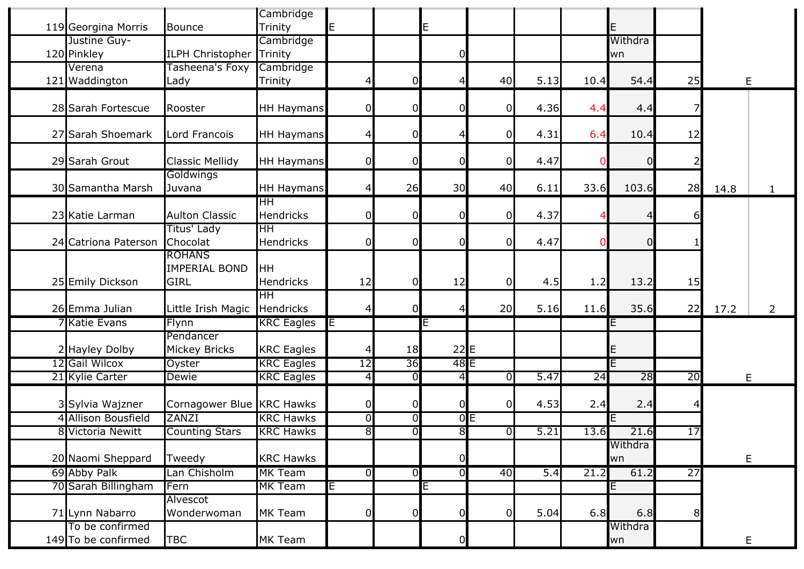| 119 Georgina Morris  | <b>Bounce</b>                                        | Cambridge<br>Trinity          | E.             |                | E               |                |      |      | E             |                |             |                |
|----------------------|------------------------------------------------------|-------------------------------|----------------|----------------|-----------------|----------------|------|------|---------------|----------------|-------------|----------------|
| Justine Guy-         |                                                      | Cambridge                     |                |                |                 |                |      |      | Withdra       |                |             |                |
| 120 Pinkley          | <b>ILPH Christopher</b>                              | Trinity                       |                |                | n               |                |      |      | wn            |                |             |                |
| Verena               | Tasheena's Foxy                                      | Cambridge                     |                |                |                 |                |      |      |               |                |             |                |
| 121 Waddington       | Lady                                                 | Trinity                       | 4              | $\mathbf 0$    |                 | 40             | 5.13 | 10.4 | 54.4          | 25             | $\mathsf E$ |                |
|                      |                                                      |                               |                |                |                 |                |      |      |               |                |             |                |
| 28 Sarah Fortescue   | Rooster                                              | <b>HH Haymans</b>             | $\overline{0}$ | $\overline{0}$ |                 | 0              | 4.36 | 4.4  | 4.4           |                |             |                |
| 27 Sarah Shoemark    | Lord Francois                                        | <b>HH Haymans</b>             | 4              | $\mathbf 0$    |                 | 0              | 4.31 | 6.4  | 10.4          | 12             |             |                |
| 29 Sarah Grout       | <b>Classic Mellidy</b>                               | <b>HH Haymans</b>             | $\overline{0}$ | 0              | ∩               | 0              | 4.47 |      |               |                |             |                |
| 30 Samantha Marsh    | Goldwings<br>Juvana                                  | <b>HH Haymans</b>             | 4              | 26             | 30              | 40             | 6.11 | 33.6 | 103.6         | 28             | 14.8        |                |
| 23 Katie Larman      | <b>Aulton Classic</b>                                | ΗH<br><b>Hendricks</b>        | $\overline{0}$ | $\mathbf 0$    | $\Omega$        | $\overline{0}$ | 4.37 |      |               | 61             |             |                |
| 24 Catriona Paterson | Titus' Lady<br>Chocolat                              | <b>HH</b><br><b>Hendricks</b> | $\overline{0}$ | $\mathbf 0$    | ſ               | 0              | 4.47 |      |               |                |             |                |
| 25 Emily Dickson     | <b>ROHANS</b><br><b>IMPERIAL BOND</b><br><b>GIRL</b> | <b>HH</b><br>Hendricks        | 12             | $\overline{0}$ | 12              | <sup>0</sup>   | 4.5  | 1.2  | 13.2          | 15             |             |                |
| 26 Emma Julian       | Little Irish Magic                                   | ΗH<br>Hendricks               | $\overline{4}$ | $\overline{0}$ |                 | 20             | 5.16 | 11.6 | 35.6          | 22             | 17.2        | $\overline{2}$ |
| <b>7 Katie Evans</b> | Flynn                                                | <b>KRC</b> Eagles             | E              |                | E               |                |      |      | E             |                |             |                |
|                      | Pendancer                                            |                               |                |                |                 |                |      |      |               |                |             |                |
| 2 Hayley Dolby       | <b>Mickey Bricks</b>                                 | <b>KRC</b> Eagles             | 4              | 18             | 22              | E              |      |      |               |                |             |                |
| 12 Gail Wilcox       | Oyster                                               | <b>KRC Eagles</b>             | 12             | 36             | 48 <sub>E</sub> |                |      |      |               |                |             |                |
| 21 Kylie Carter      | <b>Dewie</b>                                         | <b>KRC Eagles</b>             | $\overline{4}$ | Ō              | $\overline{4}$  | O              | 5.47 | 24   | 28            | 20             |             | E              |
| 3 Sylvia Wajzner     | Cornagower Blue KRC Hawks                            |                               | $\overline{0}$ | $\mathbf 0$    | 0               | $\Omega$       | 4.53 | 2.4  | 2.4           | 4              |             |                |
| 4 Allison Bousfield  | ZANZI                                                | <b>KRC Hawks</b>              | $\overline{0}$ | $\overline{0}$ |                 | 0E             |      |      |               |                |             |                |
| 8 Victoria Newitt    | <b>Counting Stars</b>                                | <b>KRC Hawks</b>              | $\overline{8}$ | $\overline{0}$ | $\overline{8}$  | $\overline{0}$ | 5.21 | 13.6 | 21.6          | 17             |             |                |
| 20 Naomi Sheppard    | Tweedy                                               | <b>KRC Hawks</b>              |                |                | $\Omega$        |                |      |      | Withdra<br>wn |                | E           |                |
| 69 Abby Palk         | Lan Chisholm                                         | <b>MK Team</b>                | $\overline{0}$ | $\Omega$       | ∩               | 40             | 5.4  | 21.2 | 61.2          | 27             |             |                |
| 70 Sarah Billingham  | Fern                                                 | <b>MK Team</b>                | E              |                | E               |                |      |      | E             |                |             |                |
| 71 Lynn Nabarro      | Alvescot<br>Wonderwoman                              | <b>MK Team</b>                | $\overline{0}$ | $\mathbf 0$    | $\Omega$        | U              | 5.04 | 6.8  | 6.8           | 8 <sub>l</sub> |             |                |
| To be confirmed      |                                                      |                               |                |                |                 |                |      |      | Withdra       |                |             |                |
| 149 To be confirmed  | <b>TBC</b>                                           | <b>MK Team</b>                |                |                | 0               |                |      |      | wn            |                | Е           |                |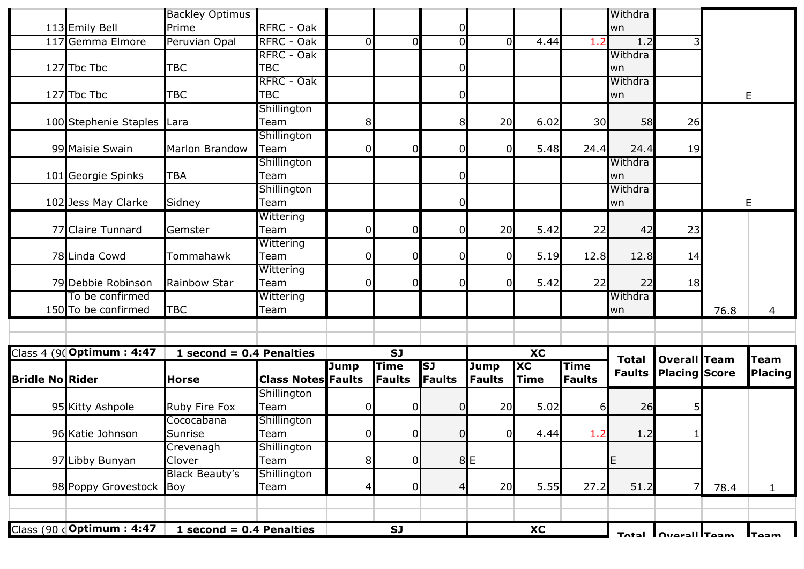|                        | 113 Emily Bell             | <b>Backley Optimus</b><br>Prime | RFRC - Oak                |                |                              | 0                          |                              |                                       |                              | Withdra<br>wn                 |                                             |      |                               |
|------------------------|----------------------------|---------------------------------|---------------------------|----------------|------------------------------|----------------------------|------------------------------|---------------------------------------|------------------------------|-------------------------------|---------------------------------------------|------|-------------------------------|
|                        | 117 Gemma Elmore           | Peruvian Opal                   | RFRC - Oak                | 0              | $\overline{0}$               | Ō                          | $\Omega$                     | 4.44                                  | 1.2                          | 1.2                           |                                             |      |                               |
|                        |                            |                                 | RFRC - Oak                |                |                              |                            |                              |                                       |                              | Withdra                       |                                             |      |                               |
|                        | 127 Tbc Tbc                | <b>TBC</b>                      | <b>TBC</b>                |                |                              | 0                          |                              |                                       |                              | wn                            |                                             |      |                               |
|                        |                            |                                 | RFRC - Oak                |                |                              |                            |                              |                                       |                              | Withdra                       |                                             |      |                               |
|                        | 127 Tbc Tbc                | <b>TBC</b>                      | <b>TBC</b>                |                |                              | $\Omega$                   |                              |                                       |                              | wn                            |                                             |      | E                             |
|                        |                            |                                 | Shillington               |                |                              |                            |                              |                                       |                              |                               |                                             |      |                               |
|                        | 100 Stephenie Staples      | lLara                           | Team                      | 8              |                              | 8                          | 20                           | 6.02                                  | 30                           | 58                            | 26                                          |      |                               |
|                        |                            |                                 | Shillington               |                |                              |                            |                              |                                       |                              |                               |                                             |      |                               |
|                        | 99 Maisie Swain            | <b>Marlon Brandow</b>           | Team                      | ΩI             | $\overline{0}$               | $\Omega$                   | $\Omega$                     | 5.48                                  | 24.4                         | 24.4                          | 19                                          |      |                               |
|                        |                            |                                 | Shillington               |                |                              |                            |                              |                                       |                              | Withdra                       |                                             |      |                               |
|                        | 101 Georgie Spinks         | <b>TBA</b>                      | Team                      |                |                              | $\Omega$                   |                              |                                       |                              | wn                            |                                             |      |                               |
|                        |                            |                                 | Shillington               |                |                              |                            |                              |                                       |                              | Withdra                       |                                             |      |                               |
|                        | 102 Jess May Clarke        | Sidney                          | Team                      |                |                              | 0                          |                              |                                       |                              | wn                            |                                             |      | E                             |
|                        | 77 Claire Tunnard          | Gemster                         | Wittering<br>Team         |                | $\overline{0}$               | $\Omega$                   | 20                           | 5.42                                  | 22                           | 42                            | 23                                          |      |                               |
|                        |                            |                                 | Wittering                 |                |                              |                            |                              |                                       |                              |                               |                                             |      |                               |
|                        | 78 Linda Cowd              | Tommahawk                       | Team                      | 0              | $\overline{O}$               | $\mathbf 0$                | 0                            | 5.19                                  | 12.8                         | 12.8                          | 14                                          |      |                               |
|                        |                            |                                 | Wittering                 |                |                              |                            |                              |                                       |                              |                               |                                             |      |                               |
|                        | 79 Debbie Robinson         | Rainbow Star                    | Team                      | 0              | $\overline{0}$               | $\Omega$                   | $\Omega$                     | 5.42                                  | 22                           | 22                            | 18                                          |      |                               |
|                        | To be confirmed            |                                 | Wittering                 |                |                              |                            |                              |                                       |                              | Withdra                       |                                             |      |                               |
|                        | 150 To be confirmed        | <b>TBC</b>                      | Team                      |                |                              |                            |                              |                                       |                              | wn                            |                                             | 76.8 | 4                             |
|                        |                            |                                 |                           |                |                              |                            |                              |                                       |                              |                               |                                             |      |                               |
|                        | Class 4 (90 Optimum: 4:47  | 1 second = $0.4$ Penalties      |                           |                | $\overline{SI}$              |                            |                              | $\overline{\text{XC}}$                |                              |                               |                                             |      |                               |
| <b>Bridle No Rider</b> |                            | <b>Horse</b>                    | <b>Class Notes Faults</b> | <b>Jump</b>    | <b>Time</b><br><b>Faults</b> | <b>SJ</b><br><b>Faults</b> | <b>Jump</b><br><b>Faults</b> | $\overline{\text{XC}}$<br><b>Time</b> | <b>Time</b><br><b>Faults</b> | <b>Total</b><br><b>Faults</b> | <b>Overall Team</b><br><b>Placing Score</b> |      | <b>Team</b><br><b>Placing</b> |
|                        |                            |                                 | Shillington               |                |                              |                            |                              |                                       |                              |                               |                                             |      |                               |
|                        | 95 Kitty Ashpole           | Ruby Fire Fox                   | Team                      | $\Omega$       | $\overline{0}$               | $\overline{0}$             | 20                           | 5.02                                  | $6 \mid$                     | 26                            |                                             |      |                               |
|                        |                            | Cococabana                      | Shillington               |                |                              |                            |                              |                                       |                              |                               |                                             |      |                               |
|                        | 96 Katie Johnson           | Sunrise                         | Team                      | $\cap$<br>υ    | $\cap$                       | $\overline{0}$             | $\overline{0}$               | 4.44                                  | 1.2                          | 1.2                           | 1 <sub>1</sub>                              |      |                               |
|                        |                            | Crevenagh                       | Shillington               |                |                              |                            |                              |                                       |                              |                               |                                             |      |                               |
|                        | 97 Libby Bunyan            | Clover                          | Team                      | 8 <sup>1</sup> | $\overline{0}$               |                            | 8E                           |                                       |                              | E                             |                                             |      |                               |
|                        |                            | <b>Black Beauty's</b>           | Shillington               |                |                              |                            |                              |                                       |                              |                               |                                             |      |                               |
|                        | 98 Poppy Grovestock Boy    |                                 | Team                      |                | $\overline{0}$               | 4                          | 20                           | 5.55                                  | 27.2                         | 51.2                          | 7                                           | 78.4 |                               |
|                        |                            |                                 |                           |                |                              |                            |                              |                                       |                              |                               |                                             |      |                               |
|                        | Class (90 c Optimum : 4:47 | 1 second = $0.4$ Penalties      |                           |                | <b>SJ</b>                    |                            |                              | $\overline{\mathbf{X}}$               |                              |                               |                                             |      |                               |
|                        |                            |                                 |                           |                |                              |                            |                              |                                       |                              |                               | Total Diversil Team                         |      | <b>Taam</b>                   |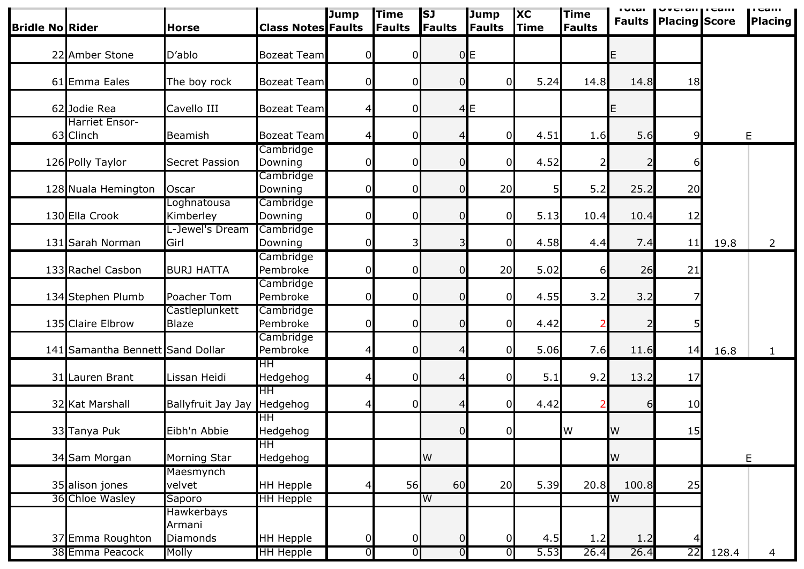| <b>Bridle No Rider</b> |                                    | <b>Horse</b>                   | <b>Class Notes Faults</b> | <b>Jump</b>    | <b>Time</b><br>Faults | <b>SJ</b><br><b>Faults</b> | Jump<br><b>Faults</b> | <b>XC</b><br><b>Time</b> | <b>Time</b><br>Faults | ı vlai    | $ VU $ and $ VU $<br><b>Faults Placing Score</b> |       | <b>I</b> call!<br><b>Placing</b> |
|------------------------|------------------------------------|--------------------------------|---------------------------|----------------|-----------------------|----------------------------|-----------------------|--------------------------|-----------------------|-----------|--------------------------------------------------|-------|----------------------------------|
|                        | 22 Amber Stone                     | D'ablo                         | <b>Bozeat Team</b>        | 0              | 0                     |                            | 0E                    |                          |                       | E         |                                                  |       |                                  |
|                        | 61 Emma Eales                      | The boy rock                   | <b>Bozeat Team</b>        | $\overline{0}$ | 0                     | 01                         | ΩI                    | 5.24                     | 14.8                  | 14.8      | 18                                               |       |                                  |
|                        | 62 Jodie Rea                       | Cavello III                    | <b>Bozeat Team</b>        | 4              | 0                     |                            | 4E                    |                          |                       | E.        |                                                  |       |                                  |
|                        | <b>Harriet Ensor-</b><br>63 Clinch | Beamish                        | <b>Bozeat Team</b>        | $\overline{4}$ | 0                     | 4                          | $\Omega$              | 4.51                     | 1.6                   | 5.6       | $\overline{9}$                                   |       | E                                |
|                        | 126 Polly Taylor                   | <b>Secret Passion</b>          | Cambridge<br>Downing      | $\mathbf 0$    | 0                     | Ωl                         | <sup>n</sup>          | 4.52                     |                       |           | 6                                                |       |                                  |
|                        | 128 Nuala Hemington                | Oscar                          | Cambridge<br>Downing      | $\mathbf{0}$   | 0                     | ΩI                         | 20                    | 5                        | 5.2                   | 25.2      | 20                                               |       |                                  |
|                        | 130 Ella Crook                     | Loghnatousa<br>Kimberley       | Cambridge<br>Downing      | 0              | 0                     | ი                          | 0                     | 5.13                     | 10.4                  | 10.4      | 12                                               |       |                                  |
|                        | 131 Sarah Norman                   | L-Jewel's Dream<br>Girl        | Cambridge<br>Downing      | $\overline{0}$ | 3                     | 3                          | $\Omega$              | 4.58                     | 4.4                   | 7.4       | 11                                               | 19.8  | $\overline{2}$                   |
|                        | 133 Rachel Casbon                  | <b>BURJ HATTA</b>              | Cambridge<br>Pembroke     | $\overline{0}$ | 0                     | Ωl                         | 20                    | 5.02                     | $6 \mid$              | 26        | 21                                               |       |                                  |
|                        | 134 Stephen Plumb                  | Poacher Tom                    | Cambridge<br>Pembroke     | $\overline{0}$ | 0                     | ი                          | <sup>0</sup>          | 4.55                     | 3.2                   | 3.2       |                                                  |       |                                  |
|                        | 135 Claire Elbrow                  | Castleplunkett<br><b>Blaze</b> | Cambridge<br>Pembroke     | $\mathbf{0}$   | 0                     | ი                          |                       | 4.42                     |                       |           |                                                  |       |                                  |
|                        | 141 Samantha Bennett Sand Dollar   |                                | Cambridge<br>Pembroke     | 4              | 0                     | 4                          | $\Omega$              | 5.06                     | 7.6                   | 11.6      | 14                                               | 16.8  | $\mathbf{1}$                     |
|                        | 31 Lauren Brant                    | Lissan Heidi                   | ΗH<br>Hedgehog            | 4              | 0                     |                            |                       | 5.1                      | 9.2                   | 13.2      | 17                                               |       |                                  |
|                        | 32 Kat Marshall                    | Ballyfruit Jay Jay             | ΗH<br>Hedgehog            | 4              | $\overline{0}$        |                            | ΩI                    | 4.42                     |                       | 6         | 10                                               |       |                                  |
|                        | 33 Tanya Puk                       | Eibh'n Abbie                   | HH<br>Hedgehog            |                |                       | ΩI                         | ΩI                    |                          | <b>IW</b>             | <b>IW</b> | 15                                               |       |                                  |
|                        | 34 Sam Morgan                      | Morning Star                   | HH<br>Hedgehog            |                |                       | W                          |                       |                          |                       | W         |                                                  |       | $\mathsf E$                      |
|                        | 35 alison jones                    | Maesmynch<br>velvet            | <b>HH Hepple</b>          | 4              | 56                    | 60                         | 20                    | 5.39                     | 20.8                  | 100.8     | 25                                               |       |                                  |
|                        | 36 Chloe Wasley                    | Saporo<br>Hawkerbays           | <b>HH Hepple</b>          |                |                       | W                          |                       |                          |                       | W         |                                                  |       |                                  |
|                        | 37 Emma Roughton                   | Armani<br><b>Diamonds</b>      | <b>HH Hepple</b>          | 0              | 0                     |                            |                       | 4.5                      | 1.2                   | 1.2       |                                                  |       |                                  |
|                        | 38 Emma Peacock                    | Molly                          | <b>HH Hepple</b>          | $\overline{0}$ | $\overline{0}$        | ΟI                         | $\Omega$              | 5.53                     | 26.4                  | 26.4      | 22                                               | 128.4 | 4                                |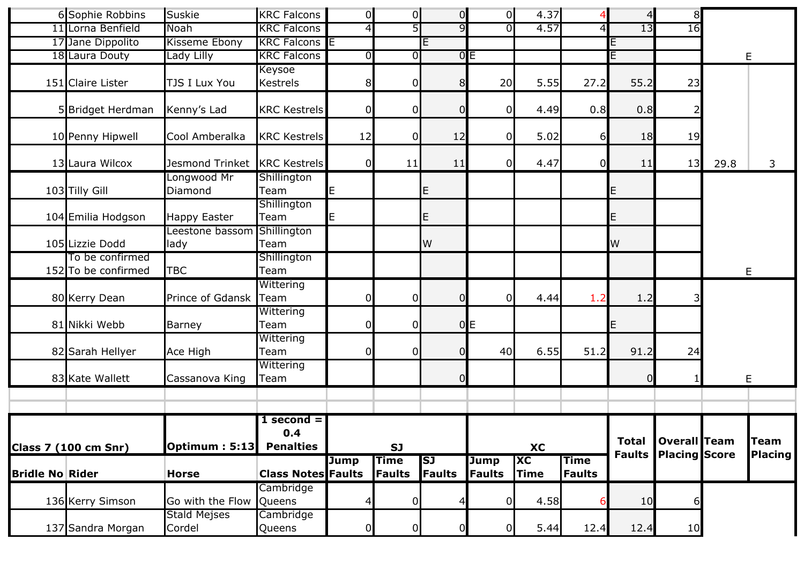|                        | 6 Sophie Robbins                       | Suskie                         | <b>KRC Falcons</b>        | $\overline{0}$ | $\overline{0}$        | $\overline{0}$      | $\overline{0}$               | 4.37                     | $\overline{4}$               | $\overline{4}$  | 8 <sup>1</sup>                                     |      |                               |
|------------------------|----------------------------------------|--------------------------------|---------------------------|----------------|-----------------------|---------------------|------------------------------|--------------------------|------------------------------|-----------------|----------------------------------------------------|------|-------------------------------|
|                        | 11 Lorna Benfield                      | Noah                           | <b>KRC Falcons</b>        | $\overline{4}$ | 5                     | 9                   | ΩI                           | 4.57                     | $\overline{4}$               | $\overline{13}$ | 16                                                 |      |                               |
|                        | 17 Jane Dippolito                      | Kisseme Ebony                  | <b>KRC Falcons E</b>      |                |                       | E                   |                              |                          |                              | Е               |                                                    |      |                               |
|                        | 18 Laura Douty                         | Lady Lilly                     | <b>KRC Falcons</b>        | $\overline{0}$ | $\overline{0}$        |                     | 0E                           |                          |                              | E               |                                                    |      | E                             |
|                        | 151 Claire Lister                      | TJS I Lux You                  | Keysoe<br>Kestrels        | 8 <sup>1</sup> | 0                     | 8                   | 20                           | 5.55                     | 27.2                         | 55.2            | 23                                                 |      |                               |
|                        | 5 Bridget Herdman                      | Kenny's Lad                    | <b>KRC Kestrels</b>       | $\Omega$       | $\overline{0}$        | $\overline{O}$      | 01                           | 4.49                     | 0.8                          | 0.8             |                                                    |      |                               |
|                        | 10 Penny Hipwell                       | Cool Amberalka                 | <b>KRC Kestrels</b>       | 12             | 0                     | 12                  | 01                           | 5.02                     | $6 \overline{}$              | 18              | 19                                                 |      |                               |
|                        | 13 Laura Wilcox                        | Jesmond Trinket                | <b>KRC Kestrels</b>       | 0              | 11                    | 11                  | 0l                           | 4.47                     | $\overline{0}$               | 11              | 13                                                 | 29.8 | 3                             |
|                        | 103 Tilly Gill                         | Longwood Mr<br>Diamond         | Shillington<br>Team       | E              |                       | E                   |                              |                          |                              | E               |                                                    |      |                               |
|                        | 104 Emilia Hodgson                     | <b>Happy Easter</b>            | Shillington<br>Team       | E              |                       | E                   |                              |                          |                              | E               |                                                    |      |                               |
|                        | 105 Lizzie Dodd                        | Leestone bassom<br>lady        | Shillington<br>Team       |                |                       | W                   |                              |                          |                              | W               |                                                    |      |                               |
|                        | To be confirmed<br>152 To be confirmed | <b>TBC</b>                     | Shillington<br>Team       |                |                       |                     |                              |                          |                              |                 |                                                    |      | E                             |
|                        | 80 Kerry Dean                          | Prince of Gdansk               | Wittering<br>Team         | 0              | 0                     | $\overline{0}$      | 0l                           | 4.44                     | 1.2                          | 1.2             |                                                    |      |                               |
|                        | 81 Nikki Webb                          | Barney                         | Wittering<br>Team         | 0              | 0                     |                     | 0E                           |                          |                              | E,              |                                                    |      |                               |
|                        | 82 Sarah Hellyer                       | Ace High                       | Wittering<br>Team         | $\overline{0}$ | 0                     | 0                   | 40                           | 6.55                     | 51.2                         | 91.2            | 24                                                 |      |                               |
|                        | 83 Kate Wallett                        | Cassanova King                 | Wittering<br>Team         |                |                       | $\overline{0}$      |                              |                          |                              | ∩               |                                                    |      | E                             |
|                        |                                        |                                |                           |                |                       |                     |                              |                          |                              |                 |                                                    |      |                               |
|                        | <b>Class 7 (100 cm Snr)</b>            | <b>Optimum: 5:13 Penalties</b> | $1$ second $=$<br>0.4     |                | <b>SJ</b>             |                     |                              | <b>XC</b>                |                              | <b>Total</b>    | <b>Overall</b> Team<br><b>Faults Placing Score</b> |      | <b>Team</b><br><b>Placing</b> |
| <b>Bridle No Rider</b> |                                        | <b>Horse</b>                   | <b>Class Notes Faults</b> | <b>Jump</b>    | <b>Time</b><br>Faults | <b>SJ</b><br>Faults | <b>Jump</b><br><b>Faults</b> | <b>XC</b><br><b>Time</b> | <b>Time</b><br><b>Faults</b> |                 |                                                    |      |                               |
|                        | 136 Kerry Simson                       | Go with the Flow               | Cambridge<br>Queens       | 4              | $\overline{0}$        |                     | Ωl                           | 4.58                     | 6                            | 10              |                                                    |      |                               |
|                        | 137 Sandra Morgan                      | <b>Stald Mejses</b><br>Cordel  | Cambridge<br>Queens       | $\overline{0}$ | 0                     | 0                   |                              | 5.44                     | 12.4                         | 12.4            | 10                                                 |      |                               |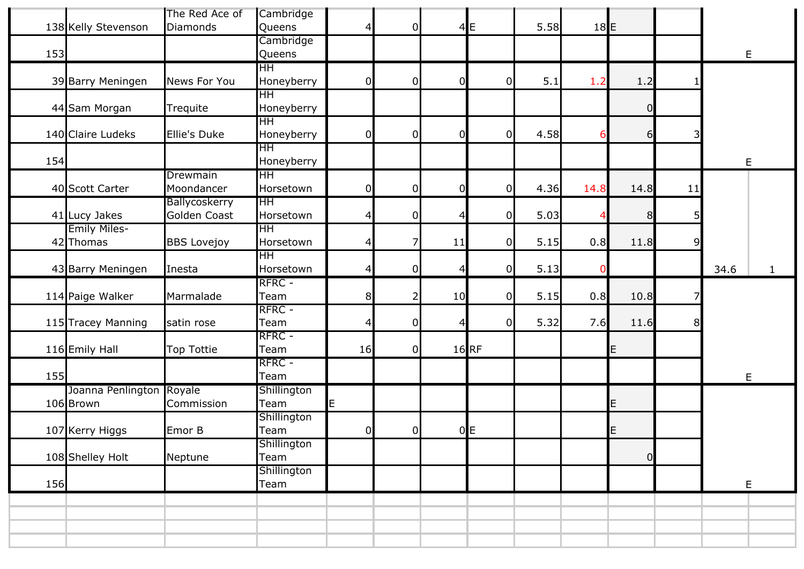|     |                          | The Red Ace of     | Cambridge                |                 |                |          |                    |      |        |                |    |      |              |
|-----|--------------------------|--------------------|--------------------------|-----------------|----------------|----------|--------------------|------|--------|----------------|----|------|--------------|
|     | 138 Kelly Stevenson      | Diamonds           | Queens                   | $\vert 4 \vert$ | 0              |          | 4E                 | 5.58 | $18$ E |                |    |      |              |
|     |                          |                    | Cambridge                |                 |                |          |                    |      |        |                |    |      |              |
| 153 |                          |                    | Queens                   |                 |                |          |                    |      |        |                |    | E    |              |
|     |                          |                    | HН                       |                 |                |          |                    |      |        |                |    |      |              |
|     | 39 Barry Meningen        | News For You       | Honeyberry               | $\overline{0}$  | 0              | $\Omega$ | ი                  | 5.1  | 1.2    | 1.2            |    |      |              |
|     |                          |                    | HН                       |                 |                |          |                    |      |        |                |    |      |              |
|     | 44 Sam Morgan            | Trequite           | Honeyberry               |                 |                |          |                    |      |        | 0              |    |      |              |
|     | 140 Claire Ludeks        |                    | H <sub>H</sub>           |                 |                |          |                    |      |        |                | 3  |      |              |
|     |                          | Ellie's Duke       | Honeyberry<br>HН         | $\overline{0}$  | 0              | 0        | $\Omega$           | 4.58 |        | 6              |    |      |              |
| 154 |                          |                    | Honeyberry               |                 |                |          |                    |      |        |                |    |      |              |
|     |                          | Drewmain           | $\overline{\mathsf{HH}}$ |                 |                |          |                    |      |        |                |    | E    |              |
|     | 40 Scott Carter          | Moondancer         | Horsetown                | 0               | 0              | $\Omega$ | 0                  | 4.36 | 14.8   | 14.8           | 11 |      |              |
|     |                          | Ballycoskerry      | HH                       |                 |                |          |                    |      |        |                |    |      |              |
|     | 41 Lucy Jakes            | Golden Coast       | Horsetown                | $\vert 4 \vert$ | $\overline{0}$ | 4        | $\overline{0}$     | 5.03 |        | 8 <sup>l</sup> | 5  |      |              |
|     | <b>Emily Miles-</b>      |                    | HH.                      |                 |                |          |                    |      |        |                |    |      |              |
|     | 42 Thomas                | <b>BBS Lovejoy</b> | Horsetown                | $\vert 4 \vert$ | 7              | 11       | 0                  | 5.15 | 0.8    | 11.8           | 9  |      |              |
|     |                          |                    | $\overline{\mathsf{HH}}$ |                 |                |          |                    |      |        |                |    |      |              |
|     | 43 Barry Meningen        | Inesta             | Horsetown                | $\vert 4 \vert$ | $\overline{0}$ | 4        | 0                  | 5.13 | 0      |                |    | 34.6 | $\mathbf{1}$ |
|     |                          |                    | RFRC -                   |                 |                |          |                    |      |        |                |    |      |              |
|     |                          |                    |                          |                 |                |          |                    |      |        |                |    |      |              |
|     |                          |                    |                          |                 |                |          | 0                  |      |        |                | 7  |      |              |
|     | 114 Paige Walker         | Marmalade          | Team                     | 8 <sup>1</sup>  | $\mathsf{2}$   | 10       |                    | 5.15 | 0.8    | 10.8           |    |      |              |
|     |                          |                    | RFRC -                   |                 |                | 4        | $\overline{0}$     |      |        |                | 8  |      |              |
|     | 115 Tracey Manning       | satin rose         | Team<br>RFRC -           | $\overline{4}$  | 0              |          |                    | 5.32 | 7.6    | 11.6           |    |      |              |
|     |                          | Top Tottie         | Team                     | 16              | $\overline{0}$ |          |                    |      |        | E              |    |      |              |
|     | 116 Emily Hall           |                    | RFRC -                   |                 |                |          | $16$ <sub>RF</sub> |      |        |                |    |      |              |
| 155 |                          |                    | Team                     |                 |                |          |                    |      |        |                |    | E    |              |
|     | Joanna Penlington Royale |                    | Shillington              |                 |                |          |                    |      |        |                |    |      |              |
|     | 106 Brown                | Commission         | Team                     | E               |                |          |                    |      |        | E              |    |      |              |
|     |                          |                    | Shillington              |                 |                |          |                    |      |        |                |    |      |              |
|     | 107 Kerry Higgs          | Emor B             | Team                     | $\overline{0}$  | 0              |          | 0E                 |      |        | E              |    |      |              |
|     |                          |                    | Shillington              |                 |                |          |                    |      |        |                |    |      |              |
|     | 108 Shelley Holt         | Neptune            | Team                     |                 |                |          |                    |      |        | $\overline{0}$ |    |      |              |
|     |                          |                    | Shillington              |                 |                |          |                    |      |        |                |    |      |              |
| 156 |                          |                    | Team                     |                 |                |          |                    |      |        |                |    | E    |              |
|     |                          |                    |                          |                 |                |          |                    |      |        |                |    |      |              |
|     |                          |                    |                          |                 |                |          |                    |      |        |                |    |      |              |
|     |                          |                    |                          |                 |                |          |                    |      |        |                |    |      |              |